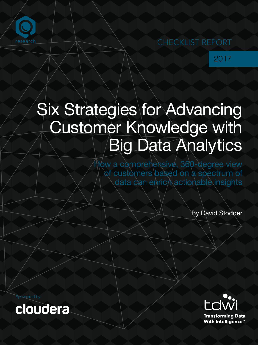

2017

# Six Strategies for Advancing Customer Knowledge with Big Data Analytics

How a comprehensive, 360-degree view of customers based on a spectrum of data can enrich actionable insights

By David Stodder

Sponsored by:



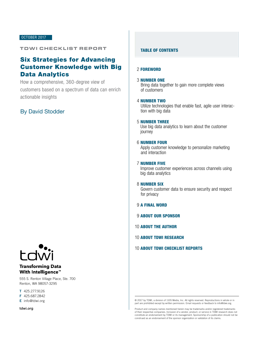#### OCTOBER 2017

### TDWI CHECKLIST REPORT

# Six Strategies for Advancing Customer Knowledge with Big Data Analytics

How a comprehensive, 360-degree view of customers based on a spectrum of data can enrich actionable insights

## By David Stodder



### **Transforming Data With Intelligence™**

555 S. Renton Village Place, Ste. 700 Renton, WA 98057-3295

T 425.277.9126

F 425.687.2842

E info@tdwi.org

tdwi.org

#### TABLE OF CONTENTS

#### 2 [FOREWORD](#page-2-0)

#### 3 NUMBER ONE

[Bring data together to gain more complete views](#page-3-0)  of customers

#### 4 NUMBER TWO

[Utilize technologies that enable fast, agile user interac](#page-4-0)tion with big data

#### 5 NUMBER THREE

[Use big data analytics to learn about the customer](#page-5-0)  journey

#### 6 NUMBER FOUR

[Apply customer knowledge to personalize marketing](#page-6-0)  and interaction

#### 7 NUMBER FIVE

[Improve customer experiences across channels using](#page-7-0)  big data analytics

#### 8 NUMBER SIX

[Govern customer data to ensure security and respect](#page-8-0)  for privacy

- 9 [A FINAL WORD](#page-9-0)
- 9 [ABOUT OUR SPONSOR](#page-9-0)
- 10 [ABOUT THE AUTHOR](#page-10-0)
- 10 [ABOUT TDWI RESEARCH](#page-10-0)

#### 10 [ABOUT TDWI CHECKLIST REPORTS](#page-10-0)

<sup>© 2017</sup> by TDWI, a division of 1105 Media, Inc. All rights reserved. Reproductions in whole or in part are prohibited except by written permission. Email requests or feedback to info@tdwi.org.

Product and company names mentioned herein may be trademarks and/or registered trademarks of their respective companies. Inclusion of a vendor, product, or service in TDWI research does not constitute an endorsement by TDWI or its management. Sponsorship of a publication should not be construed as an endorsement of the sponsor organization or validation of its claims.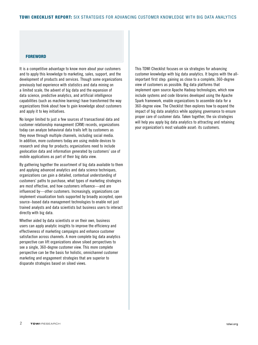#### <span id="page-2-0"></span>**FOREWORD**

It is a competitive advantage to know more about your customers and to apply this knowledge to marketing, sales, support, and the development of products and services. Though some organizations previously had experience with statistics and data mining on a limited scale, the advent of big data and the expansion of data science, predictive analytics, and artificial intelligence capabilities (such as machine learning) have transformed the way organizations think about how to gain knowledge about customers and apply it to key initiatives.

No longer limited to just a few sources of transactional data and customer relationship management (CRM) records, organizations today can analyze behavioral data trails left by customers as they move through multiple channels, including social media. In addition, more customers today are using mobile devices to research and shop for products; organizations need to include geolocation data and information generated by customers' use of mobile applications as part of their big data view.

By gathering together the assortment of big data available to them and applying advanced analytics and data science techniques, organizations can gain a detailed, contextual understanding of customers' paths to purchase, what types of marketing strategies are most effective, and how customers influence—and are influenced by—other customers. Increasingly, organizations can implement visualization tools supported by broadly accepted, open source–based data management technologies to enable not just trained analysts and data scientists but business users to interact directly with big data.

Whether aided by data scientists or on their own, business users can apply analytic insights to improve the efficiency and effectiveness of marketing campaigns and enhance customer satisfaction across channels. A more complete big data analytics perspective can lift organizations above siloed perspectives to see a single, 360-degree customer view. This more complete perspective can be the basis for holistic, omnichannel customer marketing and engagement strategies that are superior to disparate strategies based on siloed views.

This TDWI Checklist focuses on six strategies for advancing customer knowledge with big data analytics. It begins with the allimportant first step: gaining as close to a complete, 360-degree view of customers as possible. Big data platforms that implement open source Apache Hadoop technologies, which now include systems and code libraries developed using the Apache Spark framework, enable organizations to assemble data for a 360-degree view. The Checklist then explores how to expand the impact of big data analytics while applying governance to ensure proper care of customer data. Taken together, the six strategies will help you apply big data analytics to attracting and retaining your organization's most valuable asset: its customers.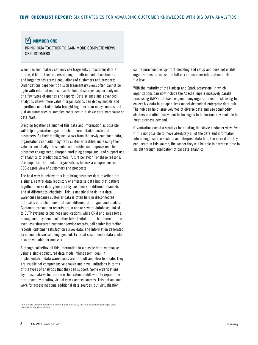#### <span id="page-3-0"></span> $\overline{\mathsf{N}}$ NUMBER ONE

BRING DATA TOGETHER TO GAIN MORE COMPLETE VIEWS OF CUSTOMERS

When decision makers can only see fragments of customer data at a time, it limits their understanding of both individual customers and larger trends across populations of customers and prospects. Organizations dependent on such fragmentary views often cannot be agile with information because the limited sources support only one or a few types of queries and reports. Data science and advanced analytics deliver more value if organizations can deploy models and algorithms on detailed data brought together from many sources, not just on summaries or samples contained in a single data warehouse or data mart.

Bringing together as much of this data and information as possible will help organizations gain a richer, more detailed picture of customers. As their intelligence grows from the newly combined data, organizations can add insights to customer profiles, increasing their value exponentially. These enhanced profiles can improve real-time customer engagement, sharpen marketing campaigns, and support use of analytics to predict customers' future behavior. For these reasons, it is important for modern organizations to seek a comprehensive, 360-degree view of customers and prospects.

The best way to achieve this is to bring customer data together into a single, central data repository or enterprise data hub that gathers together diverse data generated by customers in different channels and at different touchpoints. This is not trivial to do in a data warehouse because customer data is often held in disconnected data silos or applications that have different data types and models. Customer transaction records are in one or several databases linked to OLTP systems or business applications, while CRM and sales force management systems hold other bits of vital data. Then there are the even less structured customer service records, call center interaction records, customer satisfaction survey data, and information generated by online behavior and engagement. External social media data could also be valuable for analysis.

Although collecting all this information in a classic data warehouse using a single structured data model might seem ideal, in implementation data warehouses are difficult and slow to create. They are usually not comprehensive enough and have limitations in terms of the types of analytics that they can support. Some organizations try to use data virtualization or federation middleware to expand the data reach by creating virtual views across sources. This option could work for accessing some additional data sources, but virtualization

1 For a more detailed definition of an enterprise data hub, see http://searchcio.techtarget.com/ definition/enterprise-data-hub

can require complex up-front modeling and setup and does not enable organizations to access the full mix of customer information at the file level.

With the maturity of the Hadoop and Spark ecosystem, in which organizations can now include the Apache Impala massively parallel processing (MPP) database engine, many organizations are choosing to collect big data in an open, less model-dependent enterprise data hub. The hub can hold large volumes of diverse data and use commodity clusters and other ecosystem technologies to be horizontally scalable to meet business demand.

Organizations need a strategy for creating the single customer view. Even if it is not possible to move absolutely all of the data and information into a single source such as an enterprise data hub, the more data they can locate in this source, the sooner they will be able to decrease time to insight through application of big data analytics.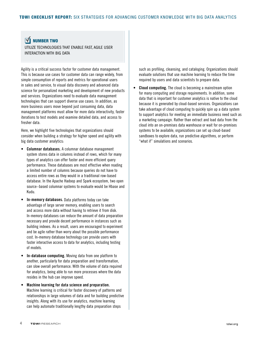#### <span id="page-4-0"></span> $\boldsymbol{\nabla}$ NUMBER TWO

UTILIZE TECHNOLOGIES THAT ENABLE FAST, AGILE USER INTERACTION WITH BIG DATA

Agility is a critical success factor for customer data management. This is because use cases for customer data can range widely, from simple consumption of reports and metrics for operational users in sales and service, to visual data discovery and advanced data science for personalized marketing and development of new products and services. Organizations need to evaluate data management technologies that can support diverse use cases. In addition, as more business users move beyond just consuming data, data management platforms must allow for more data interactivity, faster iterations to test models and examine detailed data, and access to fresher data.

Here, we highlight five technologies that organizations should consider when building a strategy for higher speed and agility with big data customer analytics:

- Columnar databases. A columnar database management system stores data in columns instead of rows, which for many types of analytics can offer faster and more efficient query performance. These databases are most effective when reading a limited number of columns because queries do not have to access entire rows as they would in a traditional row-based database. In the Apache Hadoop and Spark ecosystem, two open source–based columnar systems to evaluate would be Hbase and Kudu.
- In-memory databases. Data platforms today can take advantage of large server memory, enabling users to search and access more data without having to retrieve it from disk. In-memory databases can reduce the amount of data preparation necessary and provide decent performance in instances such as building indexes. As a result, users are encouraged to experiment and be agile rather than worry about the possible performance cost. In-memory database technology can provide users with faster interactive access to data for analytics, including testing of models.
- In-database computing. Moving data from one platform to another, particularly for data preparation and transformation, can slow overall performance. With the volume of data required for analytics, being able to run more processes where the data resides in the hub can improve speed.
- Machine learning for data science and preparation. Machine learning is critical for faster discovery of patterns and relationships in large volumes of data and for building predictive insights. Along with its use for analytics, machine learning can help automate traditionally lengthy data preparation steps

such as profiling, cleansing, and cataloging. Organizations should evaluate solutions that use machine learning to reduce the time required by users and data scientists to prepare data.

**Cloud computing.** The cloud is becoming a mainstream option for many computing and storage requirements. In addition, some data that is important for customer analytics is native to the cloud because it is generated by cloud-based services. Organizations can take advantage of cloud computing to quickly spin up a data system to support analytics for meeting an immediate business need such as a marketing campaign. Rather than extract and load data from the cloud into an on-premises data warehouse or wait for on-premises systems to be available, organizations can set up cloud-based sandboxes to explore data, run predictive algorithms, or perform "what if" simulations and scenarios.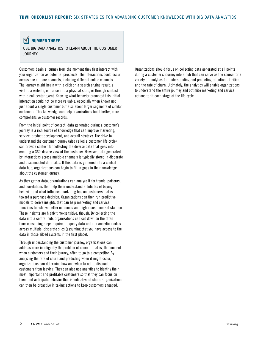#### <span id="page-5-0"></span> $\overline{\mathsf{M}}$ NUMBER THREE

USE BIG DATA ANALYTICS TO LEARN ABOUT THE CUSTOMER **JOURNEY** 

Customers begin a journey from the moment they first interact with your organization as potential prospects. The interactions could occur across one or more channels, including different online channels. The journey might begin with a click on a search engine result, a visit to a website, entrance into a physical store, or through contact with a call center agent. Knowing what behavior prompted this initial interaction could not be more valuable, especially when known not just about a single customer but also about larger segments of similar customers. This knowledge can help organizations build better, more comprehensive customer records.

From the initial point of contact, data generated during a customer's journey is a rich source of knowledge that can improve marketing, service, product development, and overall strategy. The drive to understand the customer journey (also called a customer life cycle) can provide context for collecting the diverse data that goes into creating a 360-degree view of the customer. However, data generated by interactions across multiple channels is typically stored in disparate and disconnected data silos. If this data is gathered into a central data hub, organizations can begin to fill in gaps in their knowledge about the customer journey.

As they gather data, organizations can analyze it for trends, patterns, and correlations that help them understand attributes of buying behavior and what influence marketing has on customers' paths toward a purchase decision. Organizations can then run predictive models to derive insights that can help marketing and service functions to achieve better outcomes and higher customer satisfaction. These insights are highly time-sensitive, though. By collecting the data into a central hub, organizations can cut down on the often time-consuming steps required to query data and run analytic models across multiple, disparate silos (assuming that you have access to the data in those siloed systems in the first place).

Through understanding the customer journey, organizations can address more intelligently the problem of churn—that is, the moment when customers end their journey, often to go to a competitor. By analyzing the rate of churn and predicting when it might occur, organizations can determine how and when to act to dissuade customers from leaving. They can also use analytics to identify their most important and profitable customers so that they can focus on them and anticipate behavior that is indicative of churn. Organizations can then be proactive in taking actions to keep customers engaged.

Organizations should focus on collecting data generated at all points during a customer's journey into a hub that can serve as the source for a variety of analytics for understanding and predicting retention, attrition, and the rate of churn. Ultimately, the analytics will enable organizations to understand the entire journey and optimize marketing and service actions to fit each stage of the life cycle.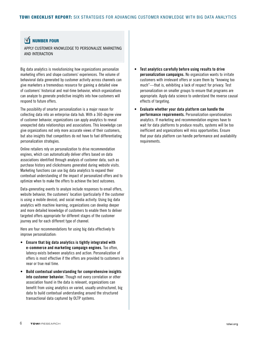#### <span id="page-6-0"></span> $\overline{\mathbf{N}}$ NUMBER FOUR

APPLY CUSTOMER KNOWLEDGE TO PERSONALIZE MARKETING AND INTERACTION

Big data analytics is revolutionizing how organizations personalize marketing offers and shape customers' experiences. The volume of behavioral data generated by customer activity across channels can give marketers a tremendous resource for gaining a detailed view of customers' historical and real-time behavior, which organizations can analyze to generate predictive insights into how customers will respond to future offers.

The possibility of smarter personalization is a major reason for collecting data into an enterprise data hub. With a 360-degree view of customer behavior, organizations can apply analytics to reveal unexpected data relationships and associations. This knowledge can give organizations not only more accurate views of their customers, but also insights that competitors do not have to fuel differentiating personalization strategies.

Online retailers rely on personalization to drive recommendation engines, which can automatically deliver offers based on data associations identified through analysis of customer data, such as purchase history and clickstreams generated during website visits. Marketing functions can use big data analytics to expand their contextual understanding of the impact of personalized offers and to optimize when to make the offers to achieve the best outcomes.

Data-generating events to analyze include responses to email offers, website behavior, the customers' location (particularly if the customer is using a mobile device), and social media activity. Using big data analytics with machine learning, organizations can develop deeper and more detailed knowledge of customers to enable them to deliver targeted offers appropriate for different stages of the customer journey and for each different type of channel.

Here are four recommendations for using big data effectively to improve personalization:

- Ensure that big data analytics is tightly integrated with e-commerce and marketing campaign engines. Too often, latency exists between analytics and action. Personalization of offers is most effective if the offers are provided to customers in near or true real time.
- Build contextual understanding for comprehensive insights into customer behavior. Though not every correlation or other association found in the data is relevant, organizations can benefit from using analytics on varied, usually unstructured, big data to build contextual understanding around the structured transactional data captured by OLTP systems.
- Test analytics carefully before using results to drive personalization campaigns. No organization wants to irritate customers with irrelevant offers or scare them by "knowing too much"—that is, exhibiting a lack of respect for privacy. Test personalization on smaller groups to ensure that programs are appropriate. Apply data science to understand the reverse causal effects of targeting.
- Evaluate whether your data platform can handle the performance requirements. Personalization operationalizes analytics. If marketing and recommendation engines have to wait for data platforms to produce results, systems will be too inefficient and organizations will miss opportunities. Ensure that your data platform can handle performance and availability requirements.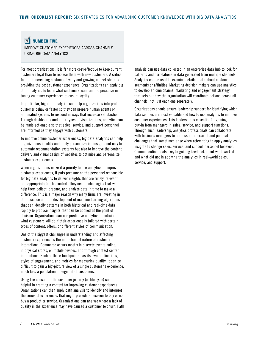#### <span id="page-7-0"></span> $\overline{\mathsf{M}}$ NUMBER FIVE

IMPROVE CUSTOMER EXPERIENCES ACROSS CHANNELS USING BIG DATA ANALYTICS

For most organizations, it is far more cost-effective to keep current customers loyal than to replace them with new customers. A critical factor in increasing customer loyalty and growing market share is providing the best customer experience. Organizations can apply big data analytics to learn what customers want and be proactive in tuning customer experiences to ensure loyalty.

In particular, big data analytics can help organizations interpret customer behavior faster so they can prepare human agents or automated systems to respond in ways that increase satisfaction. Through dashboards and other types of visualizations, analytics can be made actionable so that sales, service, and support personnel are informed as they engage with customers.

To improve online customer experiences, big data analytics can help organizations identify and apply personalization insights not only to automate recommendation systems but also to improve the content delivery and visual design of websites to optimize and personalize customer experiences.

When organizations make it a priority to use analytics to improve customer experiences, it puts pressure on the personnel responsible for big data analytics to deliver insights that are timely, relevant, and appropriate for the context. They need technologies that will help them collect, prepare, and analyze data in time to make a difference. This is a major reason why many firms are investing in data science and the development of machine learning algorithms that can identify patterns in both historical and real-time data rapidly to produce insights that can be applied at the point of decision. Organizations can use predictive analytics to anticipate what customers will do if their experience is tailored with certain types of content, offers, or different styles of communication.

One of the biggest challenges in understanding and affecting customer experience is the multichannel nature of customer interactions. Commerce occurs mostly in discrete events online, in physical stores, on mobile devices, and through contact center interactions. Each of these touchpoints has its own applications, styles of engagement, and metrics for measuring quality. It can be difficult to gain a big-picture view of a single customer's experience, much less a population or segment of customers.

Using the concept of the customer journey (or life cycle) can be helpful in creating a context for improving customer experiences. Organizations can then apply path analysis to identify and interpret the series of experiences that might precede a decision to buy or not buy a product or service. Organizations can analyze where a lack of quality in the experience may have caused a customer to churn. Path analysis can use data collected in an enterprise data hub to look for patterns and correlations in data generated from multiple channels. Analytics can be used to examine detailed data about customer segments or affinities. Marketing decision makers can use analytics to develop an omnichannel marketing and engagement strategy that sets out how the organization will coordinate actions across all channels, not just each one separately.

Organizations should ensure leadership support for identifying which data sources are most valuable and how to use analytics to improve customer experiences. This leadership is essential for gaining buy-in from managers in sales, service, and support functions. Through such leadership, analytics professionals can collaborate with business managers to address interpersonal and political challenges that sometimes arise when attempting to apply analytics insights to change sales, service, and support personnel behavior. Communication is also key to gaining feedback about what worked and what did not in applying the analytics in real-world sales, service, and support.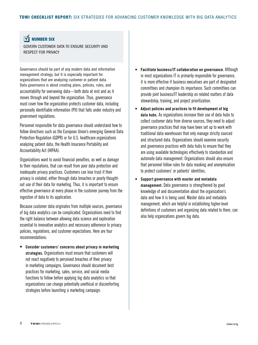# <span id="page-8-0"></span>**NUMBER SIX**

GOVERN CUSTOMER DATA TO ENSURE SECURITY AND RESPECT FOR PRIVACY

Governance should be part of any modern data and information management strategy, but it is especially important for organizations that are analyzing customer or patient data. Data governance is about creating plans, policies, rules, and accountability for overseeing data—both data at rest and as it moves through and beyond the organization. Thus, governance must cover how the organization protects customer data, including personally identifiable information (PII) that falls under industry and government regulations.

Personnel responsible for data governance should understand how to follow directives such as the European Union's emerging General Data Protection Regulation (GDPR) or for U.S. healthcare organizations analyzing patient data, the Health Insurance Portability and Accountability Act (HIPAA).

Organizations want to avoid financial penalties, as well as damage to their reputations, that can result from poor data protection and inadequate privacy practices. Customers can lose trust if their privacy is violated, either through data breaches or poorly thoughtout use of their data for marketing. Thus, it is important to ensure effective governance at every phase in the customer journey from the ingestion of data to its application.

Because customer data originates from multiple sources, governance of big data analytics can be complicated. Organizations need to find the right balance between allowing data science and exploration essential to innovative analytics and necessary adherence to privacy policies, regulations, and customer expectations. Here are four recommendations:

Consider customers' concerns about privacy in marketing strategies. Organizations must ensure that customers will not react negatively to perceived breaches of their privacy in marketing campaigns. Governance should document best practices for marketing, sales, service, and social media functions to follow before applying big data analytics so that organizations can change potentially unethical or discomforting strategies before launching a marketing campaign.

- Facilitate business/IT collaboration on governance. Although in most organizations IT is primarily responsible for governance, it is more effective if business executives are part of designated committees and champion its importance. Such committees can provide joint business/IT leadership on related matters of data stewardship, training, and project prioritization.
- Adjust policies and practices to fit development of big data hubs. As organizations increase their use of data hubs to collect customer data from diverse sources, they need to adjust governance practices that may have been set up to work with traditional data warehouses that only manage strictly sourced and structured data. Organizations should examine security and governance practices with data hubs to ensure that they are using available technologies effectively to standardize and automate data management. Organizations should also ensure that personnel follow rules for data masking and anonymization to protect customers' or patients' identities.
- Support governance with master and metadata management. Data governance is strengthened by good knowledge of and documentation about the organization's data and how it is being used. Master data and metadata management, which are helpful in establishing higher-level definitions of customers and organizing data related to them, can also help organizations govern big data.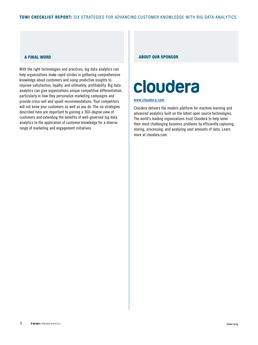With the right technologies and practices, big data analytics can help organizations make rapid strides in gathering comprehensive knowledge about customers and using predictive insights to improve satisfaction, loyalty, and ultimately, profitability. Big data analytics can give organizations unique competitive differentiation, particularly in how they personalize marketing campaigns and provide cross-sell and upsell recommendations. Your competitors will not know your customers as well as you do. The six strategies described here are important to gaining a 360-degree view of customers and extending the benefits of well-governed big data analytics to the application of customer knowledge for a diverse range of marketing and engagement initiatives.

#### <span id="page-9-0"></span>A FINAL WORD ABOUT OUR SPONSOR

# cloudera

#### [www.cloudera.com](htp://www.cloudera.com)

Cloudera delivers the modern platform for machine learning and advanced analytics built on the latest open source technologies. The world's leading organizations trust Cloudera to help solve their most challenging business problems by efficiently capturing, storing, processing, and analyzing vast amounts of data. Learn more at cloudera.com.